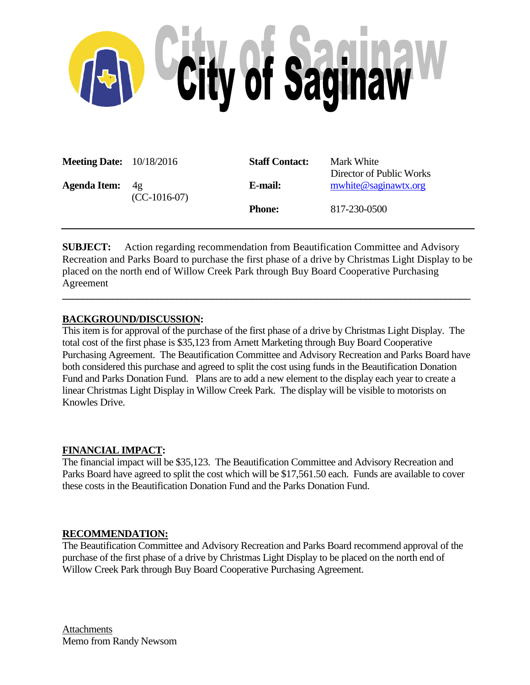

| <b>Meeting Date:</b> 10/18/2016 |                             | <b>Staff Contact:</b> | Mark White<br>Director of Public Works |  |
|---------------------------------|-----------------------------|-----------------------|----------------------------------------|--|
| <b>Agenda Item:</b>             | $4\sigma$<br>$(CC-1016-07)$ | E-mail:               | mwhite@saginawtx.org                   |  |
|                                 |                             | <b>Phone:</b>         | 817-230-0500                           |  |

**SUBJECT:** Action regarding recommendation from Beautification Committee and Advisory Recreation and Parks Board to purchase the first phase of a drive by Christmas Light Display to be placed on the north end of Willow Creek Park through Buy Board Cooperative Purchasing Agreement

**\_\_\_\_\_\_\_\_\_\_\_\_\_\_\_\_\_\_\_\_\_\_\_\_\_\_\_\_\_\_\_\_\_\_\_\_\_\_\_\_\_\_\_\_\_\_\_\_\_\_\_\_\_\_\_\_\_\_\_\_\_\_\_\_\_\_\_\_\_\_\_\_\_\_\_\_\_\_\_\_\_\_**

# **BACKGROUND/DISCUSSION:**

This item is for approval of the purchase of the first phase of a drive by Christmas Light Display. The total cost of the first phase is \$35,123 from Arnett Marketing through Buy Board Cooperative Purchasing Agreement. The Beautification Committee and Advisory Recreation and Parks Board have both considered this purchase and agreed to split the cost using funds in the Beautification Donation Fund and Parks Donation Fund. Plans are to add a new element to the display each year to create a linear Christmas Light Display in Willow Creek Park. The display will be visible to motorists on Knowles Drive.

# **FINANCIAL IMPACT:**

The financial impact will be \$35,123. The Beautification Committee and Advisory Recreation and Parks Board have agreed to split the cost which will be \$17,561.50 each. Funds are available to cover these costs in the Beautification Donation Fund and the Parks Donation Fund.

### **RECOMMENDATION:**

The Beautification Committee and Advisory Recreation and Parks Board recommend approval of the purchase of the first phase of a drive by Christmas Light Display to be placed on the north end of Willow Creek Park through Buy Board Cooperative Purchasing Agreement.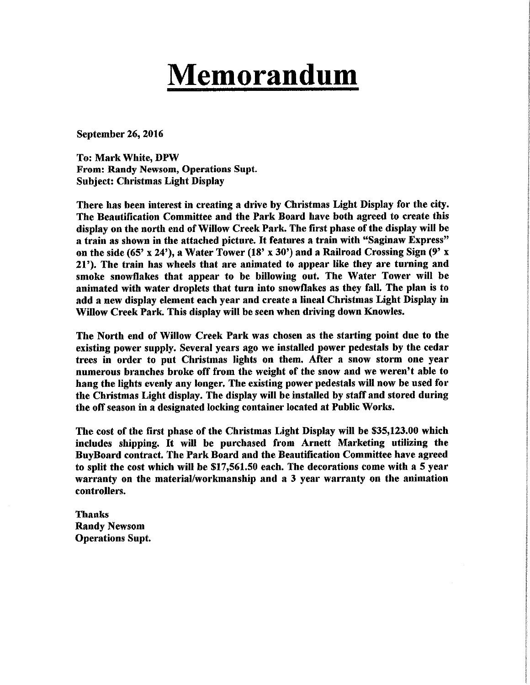# **Memorandum**

**September 26, 2016** 

**To: Mark White, DPW** From: Randy Newsom, Operations Supt. **Subject: Christmas Light Display** 

There has been interest in creating a drive by Christmas Light Display for the city. The Beautification Committee and the Park Board have both agreed to create this display on the north end of Willow Creek Park. The first phase of the display will be a train as shown in the attached picture. It features a train with "Saginaw Express" on the side (65' x 24'), a Water Tower (18' x 30') and a Railroad Crossing Sign (9' x 21'). The train has wheels that are animated to appear like they are turning and smoke snowflakes that appear to be billowing out. The Water Tower will be animated with water droplets that turn into snowflakes as they fall. The plan is to add a new display element each year and create a lineal Christmas Light Display in Willow Creek Park. This display will be seen when driving down Knowles.

The North end of Willow Creek Park was chosen as the starting point due to the existing power supply. Several years ago we installed power pedestals by the cedar trees in order to put Christmas lights on them. After a snow storm one year numerous branches broke off from the weight of the snow and we weren't able to hang the lights evenly any longer. The existing power pedestals will now be used for the Christmas Light display. The display will be installed by staff and stored during the off season in a designated locking container located at Public Works.

The cost of the first phase of the Christmas Light Display will be \$35,123.00 which includes shipping. It will be purchased from Arnett Marketing utilizing the **BuyBoard contract. The Park Board and the Beautification Committee have agreed** to split the cost which will be \$17,561.50 each. The decorations come with a 5 year warranty on the material/workmanship and a 3 year warranty on the animation controllers.

**Thanks Randy Newsom Operations Supt.**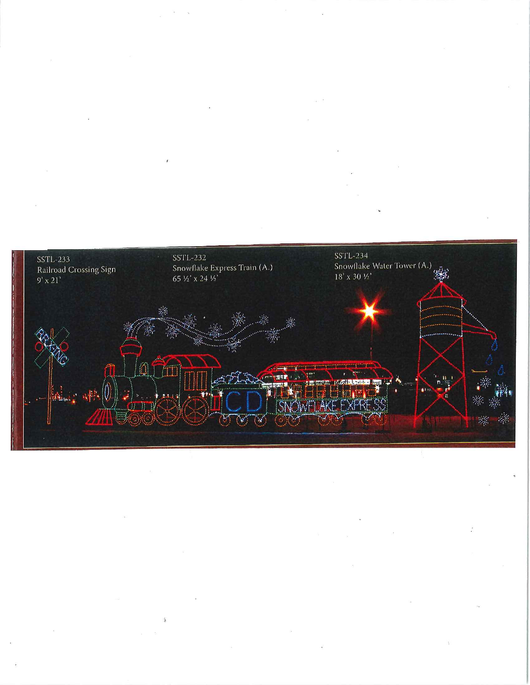

 $\Lambda$